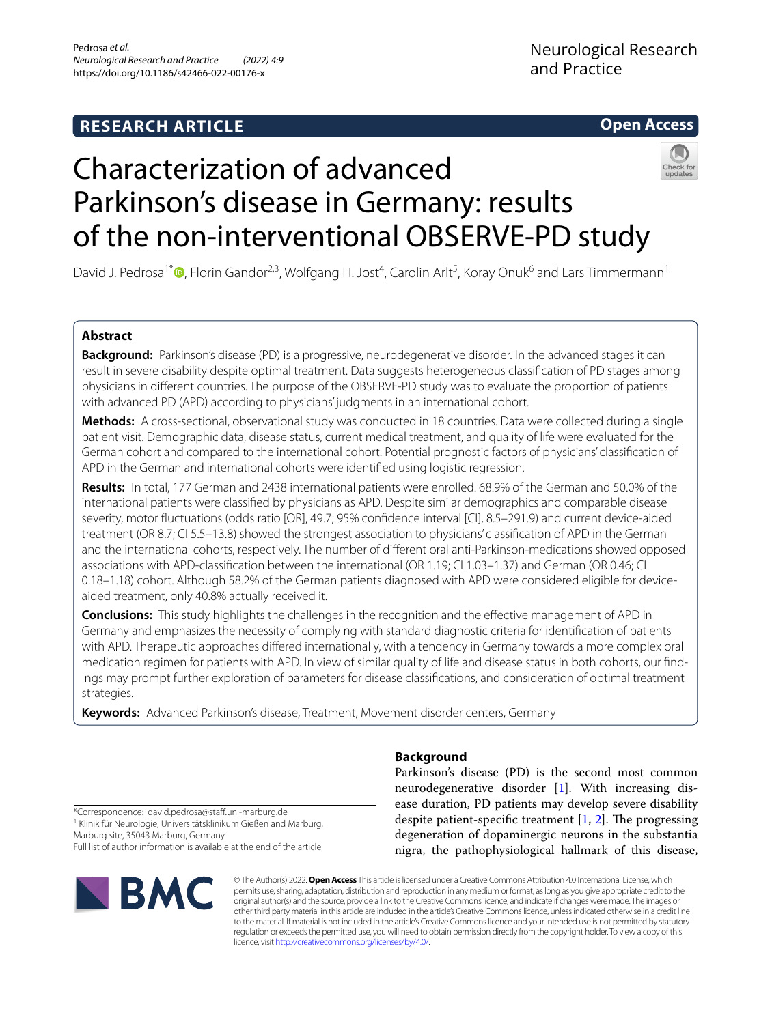## **RESEARCH ARTICLE**

## **Open Access**



# Characterization of advanced Parkinson's disease in Germany: results of the non-interventional OBSERVE-PD study

David J. Pedrosa<sup>1\*</sup><sup>®</sup>[,](http://orcid.org/0000-0002-5403-1959) Florin Gandor<sup>2,3</sup>, Wolfgang H. Jost<sup>4</sup>, Carolin Arlt<sup>5</sup>, Koray Onuk<sup>6</sup> and Lars Timmermann<sup>1</sup>

## **Abstract**

**Background:** Parkinson's disease (PD) is a progressive, neurodegenerative disorder. In the advanced stages it can result in severe disability despite optimal treatment. Data suggests heterogeneous classifcation of PD stages among physicians in diferent countries. The purpose of the OBSERVE-PD study was to evaluate the proportion of patients with advanced PD (APD) according to physicians' judgments in an international cohort.

**Methods:** A cross-sectional, observational study was conducted in 18 countries. Data were collected during a single patient visit. Demographic data, disease status, current medical treatment, and quality of life were evaluated for the German cohort and compared to the international cohort. Potential prognostic factors of physicians' classifcation of APD in the German and international cohorts were identifed using logistic regression.

**Results:** In total, 177 German and 2438 international patients were enrolled. 68.9% of the German and 50.0% of the international patients were classifed by physicians as APD. Despite similar demographics and comparable disease severity, motor fuctuations (odds ratio [OR], 49.7; 95% confdence interval [CI], 8.5–291.9) and current device-aided treatment (OR 8.7; CI 5.5–13.8) showed the strongest association to physicians' classifcation of APD in the German and the international cohorts, respectively. The number of diferent oral anti-Parkinson-medications showed opposed associations with APD-classifcation between the international (OR 1.19; CI 1.03–1.37) and German (OR 0.46; CI 0.18–1.18) cohort. Although 58.2% of the German patients diagnosed with APD were considered eligible for deviceaided treatment, only 40.8% actually received it.

**Conclusions:** This study highlights the challenges in the recognition and the efective management of APD in Germany and emphasizes the necessity of complying with standard diagnostic criteria for identifcation of patients with APD. Therapeutic approaches difered internationally, with a tendency in Germany towards a more complex oral medication regimen for patients with APD. In view of similar quality of life and disease status in both cohorts, our fndings may prompt further exploration of parameters for disease classifcations, and consideration of optimal treatment strategies.

**Keywords:** Advanced Parkinson's disease, Treatment, Movement disorder centers, Germany

## **Background**

Parkinson's disease (PD) is the second most common neurodegenerative disorder [[1\]](#page-8-0). With increasing disease duration, PD patients may develop severe disability despite patient-specific treatment  $[1, 2]$  $[1, 2]$  $[1, 2]$  $[1, 2]$ . The progressing degeneration of dopaminergic neurons in the substantia nigra, the pathophysiological hallmark of this disease,

\*Correspondence: david.pedrosa@staf.uni-marburg.de <sup>1</sup> Klinik für Neurologie, Universitätsklinikum Gießen and Marburg, Marburg site, 35043 Marburg, Germany Full list of author information is available at the end of the article



© The Author(s) 2022. **Open Access** This article is licensed under a Creative Commons Attribution 4.0 International License, which permits use, sharing, adaptation, distribution and reproduction in any medium or format, as long as you give appropriate credit to the original author(s) and the source, provide a link to the Creative Commons licence, and indicate if changes were made. The images or other third party material in this article are included in the article's Creative Commons licence, unless indicated otherwise in a credit line to the material. If material is not included in the article's Creative Commons licence and your intended use is not permitted by statutory regulation or exceeds the permitted use, you will need to obtain permission directly from the copyright holder. To view a copy of this licence, visit [http://creativecommons.org/licenses/by/4.0/.](http://creativecommons.org/licenses/by/4.0/)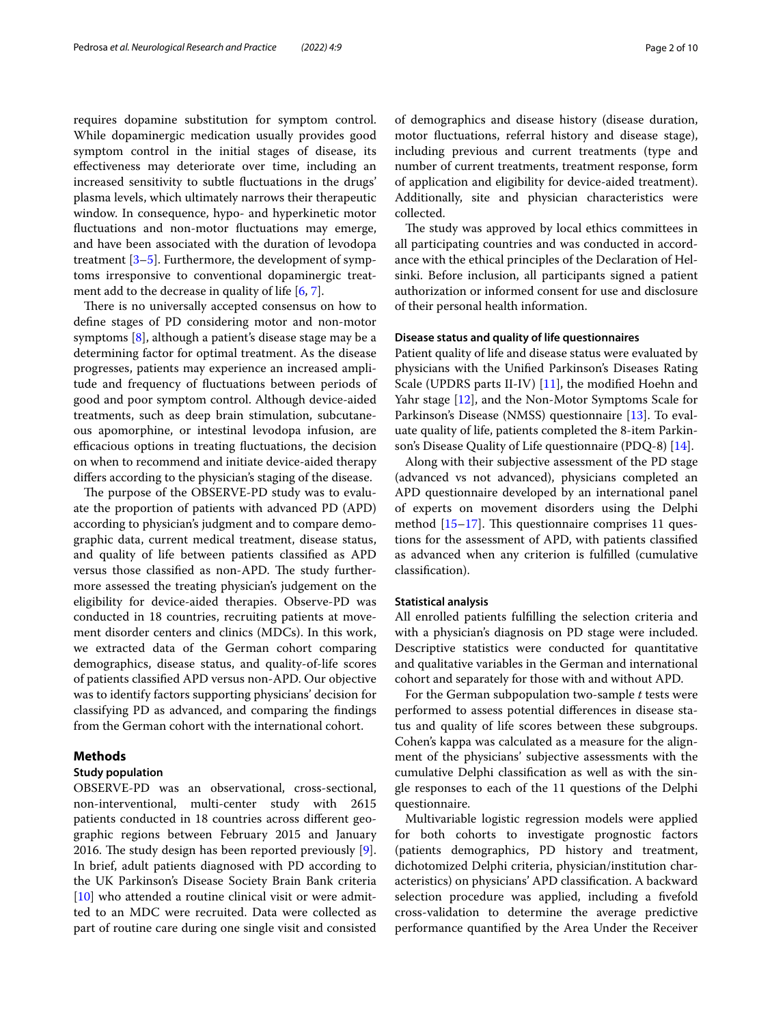requires dopamine substitution for symptom control. While dopaminergic medication usually provides good symptom control in the initial stages of disease, its efectiveness may deteriorate over time, including an increased sensitivity to subtle fuctuations in the drugs' plasma levels, which ultimately narrows their therapeutic window. In consequence, hypo- and hyperkinetic motor fuctuations and non-motor fuctuations may emerge, and have been associated with the duration of levodopa treatment [[3–](#page-8-2)[5\]](#page-8-3). Furthermore, the development of symptoms irresponsive to conventional dopaminergic treatment add to the decrease in quality of life [\[6](#page-8-4), [7\]](#page-8-5).

There is no universally accepted consensus on how to defne stages of PD considering motor and non-motor symptoms [[8\]](#page-8-6), although a patient's disease stage may be a determining factor for optimal treatment. As the disease progresses, patients may experience an increased amplitude and frequency of fuctuations between periods of good and poor symptom control. Although device-aided treatments, such as deep brain stimulation, subcutaneous apomorphine, or intestinal levodopa infusion, are efficacious options in treating fluctuations, the decision on when to recommend and initiate device-aided therapy difers according to the physician's staging of the disease.

The purpose of the OBSERVE-PD study was to evaluate the proportion of patients with advanced PD (APD) according to physician's judgment and to compare demographic data, current medical treatment, disease status, and quality of life between patients classifed as APD versus those classified as non-APD. The study furthermore assessed the treating physician's judgement on the eligibility for device-aided therapies. Observe-PD was conducted in 18 countries, recruiting patients at movement disorder centers and clinics (MDCs). In this work, we extracted data of the German cohort comparing demographics, disease status, and quality-of-life scores of patients classifed APD versus non-APD. Our objective was to identify factors supporting physicians' decision for classifying PD as advanced, and comparing the fndings from the German cohort with the international cohort.

#### **Methods**

#### **Study population**

OBSERVE-PD was an observational, cross-sectional, non-interventional, multi-center study with 2615 patients conducted in 18 countries across diferent geographic regions between February 2015 and January 2016. The study design has been reported previously  $[9]$  $[9]$ . In brief, adult patients diagnosed with PD according to the UK Parkinson's Disease Society Brain Bank criteria [[10\]](#page-8-8) who attended a routine clinical visit or were admitted to an MDC were recruited. Data were collected as part of routine care during one single visit and consisted of demographics and disease history (disease duration, motor fuctuations, referral history and disease stage), including previous and current treatments (type and number of current treatments, treatment response, form of application and eligibility for device-aided treatment). Additionally, site and physician characteristics were collected.

The study was approved by local ethics committees in all participating countries and was conducted in accordance with the ethical principles of the Declaration of Helsinki. Before inclusion, all participants signed a patient authorization or informed consent for use and disclosure of their personal health information.

#### **Disease status and quality of life questionnaires**

Patient quality of life and disease status were evaluated by physicians with the Unifed Parkinson's Diseases Rating Scale (UPDRS parts II-IV) [\[11](#page-8-9)], the modifed Hoehn and Yahr stage [\[12](#page-8-10)], and the Non-Motor Symptoms Scale for Parkinson's Disease (NMSS) questionnaire [[13](#page-8-11)]. To evaluate quality of life, patients completed the 8-item Parkinson's Disease Quality of Life questionnaire (PDQ-8) [\[14](#page-8-12)].

Along with their subjective assessment of the PD stage (advanced vs not advanced), physicians completed an APD questionnaire developed by an international panel of experts on movement disorders using the Delphi method  $[15-17]$  $[15-17]$  $[15-17]$ . This questionnaire comprises 11 questions for the assessment of APD, with patients classifed as advanced when any criterion is fulflled (cumulative classifcation).

#### **Statistical analysis**

All enrolled patients fulflling the selection criteria and with a physician's diagnosis on PD stage were included. Descriptive statistics were conducted for quantitative and qualitative variables in the German and international cohort and separately for those with and without APD.

For the German subpopulation two-sample *t* tests were performed to assess potential diferences in disease status and quality of life scores between these subgroups. Cohen's kappa was calculated as a measure for the alignment of the physicians' subjective assessments with the cumulative Delphi classifcation as well as with the single responses to each of the 11 questions of the Delphi questionnaire.

Multivariable logistic regression models were applied for both cohorts to investigate prognostic factors (patients demographics, PD history and treatment, dichotomized Delphi criteria, physician/institution characteristics) on physicians' APD classifcation. A backward selection procedure was applied, including a fivefold cross-validation to determine the average predictive performance quantifed by the Area Under the Receiver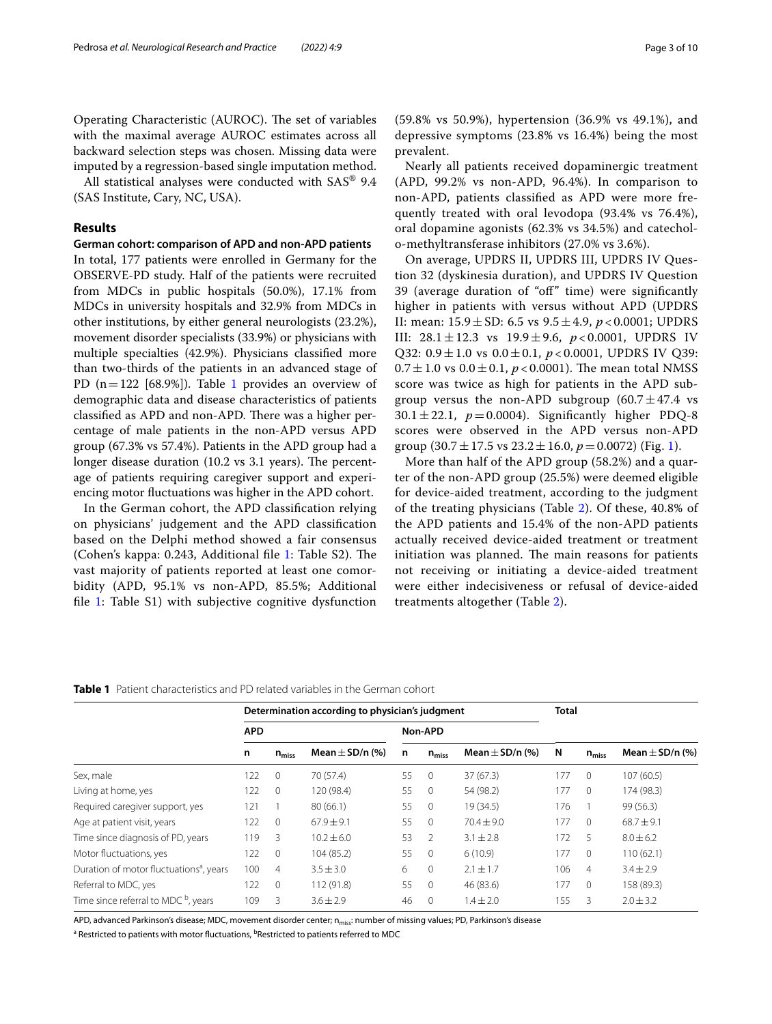Operating Characteristic (AUROC). The set of variables with the maximal average AUROC estimates across all backward selection steps was chosen. Missing data were imputed by a regression-based single imputation method.

All statistical analyses were conducted with SAS® 9.4 (SAS Institute, Cary, NC, USA).

#### **Results**

**German cohort: comparison of APD and non‑APD patients** In total, 177 patients were enrolled in Germany for the OBSERVE-PD study. Half of the patients were recruited from MDCs in public hospitals (50.0%), 17.1% from MDCs in university hospitals and 32.9% from MDCs in other institutions, by either general neurologists (23.2%), movement disorder specialists (33.9%) or physicians with multiple specialties (42.9%). Physicians classifed more than two-thirds of the patients in an advanced stage of PD ( $n=122$  $n=122$  $n=122$  [68.9%]). Table 1 provides an overview of demographic data and disease characteristics of patients classified as APD and non-APD. There was a higher percentage of male patients in the non-APD versus APD group (67.3% vs 57.4%). Patients in the APD group had a longer disease duration (10.2 vs 3.1 years). The percentage of patients requiring caregiver support and experiencing motor fuctuations was higher in the APD cohort.

In the German cohort, the APD classifcation relying on physicians' judgement and the APD classifcation based on the Delphi method showed a fair consensus (Cohen's kappa: 0.243, Additional file  $1$ : Table S2). The vast majority of patients reported at least one comorbidity (APD, 95.1% vs non-APD, 85.5%; Additional file [1:](#page-7-0) Table S1) with subjective cognitive dysfunction (59.8% vs 50.9%), hypertension (36.9% vs 49.1%), and depressive symptoms (23.8% vs 16.4%) being the most prevalent.

Nearly all patients received dopaminergic treatment (APD, 99.2% vs non-APD, 96.4%). In comparison to non-APD, patients classifed as APD were more frequently treated with oral levodopa (93.4% vs 76.4%), oral dopamine agonists (62.3% vs 34.5%) and catecholo-methyltransferase inhibitors (27.0% vs 3.6%).

On average, UPDRS II, UPDRS III, UPDRS IV Question 32 (dyskinesia duration), and UPDRS IV Question 39 (average duration of "of" time) were signifcantly higher in patients with versus without APD (UPDRS II: mean: 15.9±SD: 6.5 vs 9.5±4.9, *p* < 0.0001; UPDRS III: 28.1±12.3 vs 19.9±9.6, *p* < 0.0001, UPDRS IV Q32:  $0.9 \pm 1.0$  vs  $0.0 \pm 0.1$ ,  $p < 0.0001$ , UPDRS IV Q39:  $0.7 \pm 1.0$  vs  $0.0 \pm 0.1$ ,  $p < 0.0001$ ). The mean total NMSS score was twice as high for patients in the APD subgroup versus the non-APD subgroup  $(60.7 \pm 47.4 \text{ vs } 10^{-10})$ 30.1 $\pm$ 22.1,  $p = 0.0004$ ). Significantly higher PDQ-8 scores were observed in the APD versus non-APD group  $(30.7 \pm 17.5 \text{ vs } 23.2 \pm 16.0, p = 0.0072)$  $(30.7 \pm 17.5 \text{ vs } 23.2 \pm 16.0, p = 0.0072)$  $(30.7 \pm 17.5 \text{ vs } 23.2 \pm 16.0, p = 0.0072)$  (Fig. 1).

More than half of the APD group (58.2%) and a quarter of the non-APD group (25.5%) were deemed eligible for device-aided treatment, according to the judgment of the treating physicians (Table [2](#page-3-1)). Of these, 40.8% of the APD patients and 15.4% of the non-APD patients actually received device-aided treatment or treatment initiation was planned. The main reasons for patients not receiving or initiating a device-aided treatment were either indecisiveness or refusal of device-aided treatments altogether (Table [2\)](#page-3-1).

<span id="page-2-0"></span>

| <b>Table 1</b> Patient characteristics and PD related variables in the German cohort |  |
|--------------------------------------------------------------------------------------|--|
|--------------------------------------------------------------------------------------|--|

|                                                     | Determination according to physician's judgment |                   |                     |         |                   | <b>Total</b>        |     |                   |                     |
|-----------------------------------------------------|-------------------------------------------------|-------------------|---------------------|---------|-------------------|---------------------|-----|-------------------|---------------------|
|                                                     | <b>APD</b>                                      |                   |                     | Non-APD |                   |                     |     |                   |                     |
|                                                     | n                                               | $n_{\text{miss}}$ | Mean $\pm$ SD/n (%) | n       | $n_{\text{miss}}$ | Mean $\pm$ SD/n (%) | N   | $n_{\text{miss}}$ | Mean $\pm$ SD/n (%) |
| Sex, male                                           | 122                                             | $\overline{0}$    | 70 (57.4)           | 55      | $\Omega$          | 37(67.3)            | 177 | $\Omega$          | 107 (60.5)          |
| Living at home, yes                                 | 122                                             | $\Omega$          | 120 (98.4)          | 55      | $\Omega$          | 54 (98.2)           | 177 | $\Omega$          | 174 (98.3)          |
| Required caregiver support, yes                     | 121                                             |                   | 80(66.1)            | 55      | $\Omega$          | 19 (34.5)           | 176 |                   | 99 (56.3)           |
| Age at patient visit, years                         | 122                                             | $\overline{0}$    | $67.9 \pm 9.1$      | 55      | $\Omega$          | $70.4 + 9.0$        | 177 | $\Omega$          | $68.7 \pm 9.1$      |
| Time since diagnosis of PD, years                   | 119                                             | 3                 | $10.2 \pm 6.0$      | 53      | $\overline{z}$    | $3.1 \pm 2.8$       | 172 | 5                 | $8.0 \pm 6.2$       |
| Motor fluctuations, yes                             | 122                                             | $\overline{0}$    | 104(85.2)           | 55      | $\Omega$          | 6(10.9)             | 177 | $\Omega$          | 110(62.1)           |
| Duration of motor fluctuations <sup>a</sup> , years | 100                                             | $\overline{4}$    | $3.5 \pm 3.0$       | 6       | $\Omega$          | $2.1 \pm 1.7$       | 106 | 4                 | $3.4 \pm 2.9$       |
| Referral to MDC, yes                                | 122                                             | $\overline{0}$    | 112 (91.8)          | 55      | $\Omega$          | 46 (83.6)           | 177 | $\Omega$          | 158 (89.3)          |
| Time since referral to MDC <sup>b</sup> , years     | 109                                             | 3                 | $3.6 \pm 2.9$       | 46      | $\Omega$          | $1.4 \pm 2.0$       | 155 | 3                 | $2.0 \pm 3.2$       |

APD, advanced Parkinson's disease; MDC, movement disorder center; n<sub>miss</sub>: number of missing values; PD, Parkinson's disease

<sup>a</sup> Restricted to patients with motor fluctuations, <sup>b</sup>Restricted to patients referred to MDC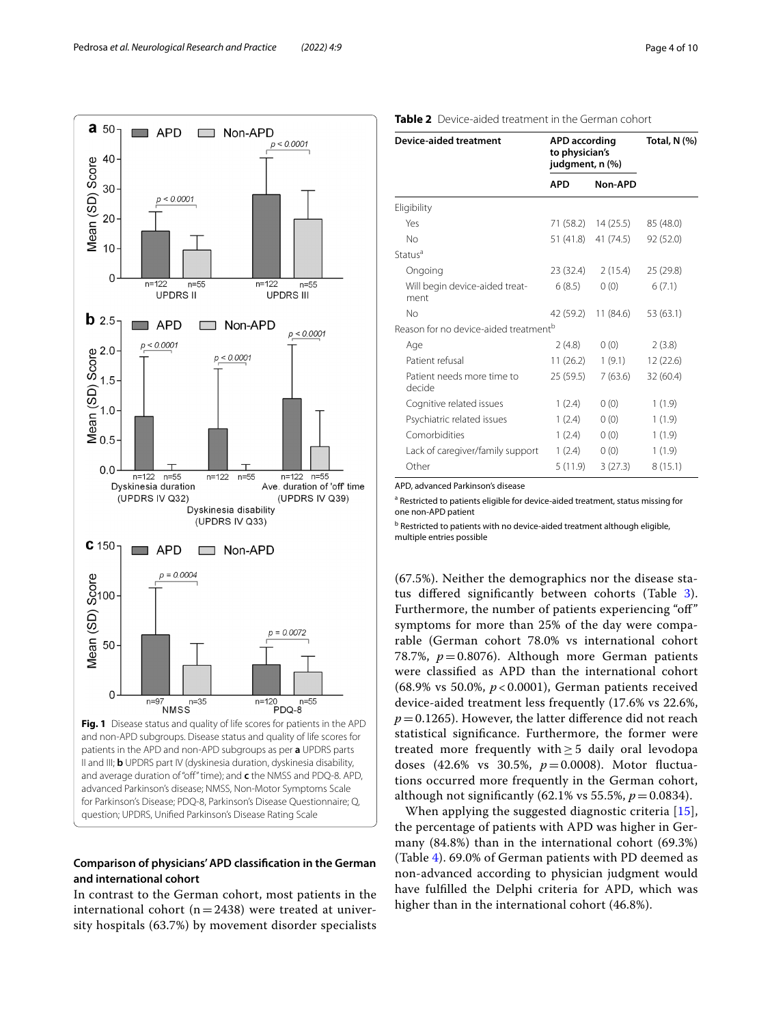

<span id="page-3-0"></span>question; UPDRS, Unifed Parkinson's Disease Rating Scale

### **Comparison of physicians' APD classifcation in the German and international cohort**

In contrast to the German cohort, most patients in the international cohort ( $n=2438$ ) were treated at university hospitals (63.7%) by movement disorder specialists

<span id="page-3-1"></span>

| <b>Table 2</b> Device-aided treatment in the German cohort |  |
|------------------------------------------------------------|--|
|------------------------------------------------------------|--|

| <b>Device-aided treatment</b>                     | <b>APD according</b><br>to physician's<br>judgment, n (%) | <b>Total, N (%)</b> |           |  |  |
|---------------------------------------------------|-----------------------------------------------------------|---------------------|-----------|--|--|
|                                                   | <b>APD</b>                                                | Non-APD             |           |  |  |
| Eligibility                                       |                                                           |                     |           |  |  |
| Yes                                               |                                                           | 71 (58.2) 14 (25.5) | 85 (48.0) |  |  |
| No                                                |                                                           | 51 (41.8) 41 (74.5) | 92 (52.0) |  |  |
| Status <sup>a</sup>                               |                                                           |                     |           |  |  |
| Ongoing                                           | 23 (32.4)                                                 | 2(15.4)             | 25(29.8)  |  |  |
| Will begin device-aided treat-<br>ment            | 6(8.5)                                                    | 0(0)                | 6(7.1)    |  |  |
| No                                                | 42 (59.2)                                                 | 11 (84.6)           | 53 (63.1) |  |  |
| Reason for no device-aided treatment <sup>b</sup> |                                                           |                     |           |  |  |
| Age                                               | 2(4.8)                                                    | 0(0)                | 2(3.8)    |  |  |
| Patient refusal                                   | 11(26.2)                                                  | 1(9.1)              | 12(22.6)  |  |  |
| Patient needs more time to<br>decide              | 25 (59.5)                                                 | 7 (63.6)            | 32 (60.4) |  |  |
| Cognitive related issues                          | 1(2.4)                                                    | 0(0)                | 1(1.9)    |  |  |
| Psychiatric related issues                        | 1(2.4)                                                    | 0(0)                | 1(1.9)    |  |  |
| Comorbidities                                     | 1(2.4)                                                    | 0(0)                | 1(1.9)    |  |  |
| Lack of caregiver/family support                  | 1(2.4)                                                    | 0(0)                | 1(1.9)    |  |  |
| Other                                             | 5 (11.9)                                                  | 3(27.3)             | 8(15.1)   |  |  |

APD, advanced Parkinson's disease

<sup>a</sup> Restricted to patients eligible for device-aided treatment, status missing for one non-APD patient

**b** Restricted to patients with no device-aided treatment although eligible, multiple entries possible

(67.5%). Neither the demographics nor the disease status difered signifcantly between cohorts (Table [3](#page-4-0)). Furthermore, the number of patients experiencing "of" symptoms for more than 25% of the day were comparable (German cohort 78.0% vs international cohort 78.7%,  $p = 0.8076$ ). Although more German patients were classifed as APD than the international cohort (68.9% vs 50.0%, *p* < 0.0001), German patients received device-aided treatment less frequently (17.6% vs 22.6%,  $p = 0.1265$ ). However, the latter difference did not reach statistical signifcance. Furthermore, the former were treated more frequently with  $\geq$  5 daily oral levodopa doses (42.6% vs 30.5%, *p*=0.0008). Motor fuctuations occurred more frequently in the German cohort, although not significantly  $(62.1\% \text{ vs } 55.5\%, p = 0.0834).$ 

When applying the suggested diagnostic criteria [[15](#page-8-13)], the percentage of patients with APD was higher in Germany (84.8%) than in the international cohort (69.3%) (Table [4\)](#page-5-0). 69.0% of German patients with PD deemed as non-advanced according to physician judgment would have fulflled the Delphi criteria for APD, which was higher than in the international cohort (46.8%).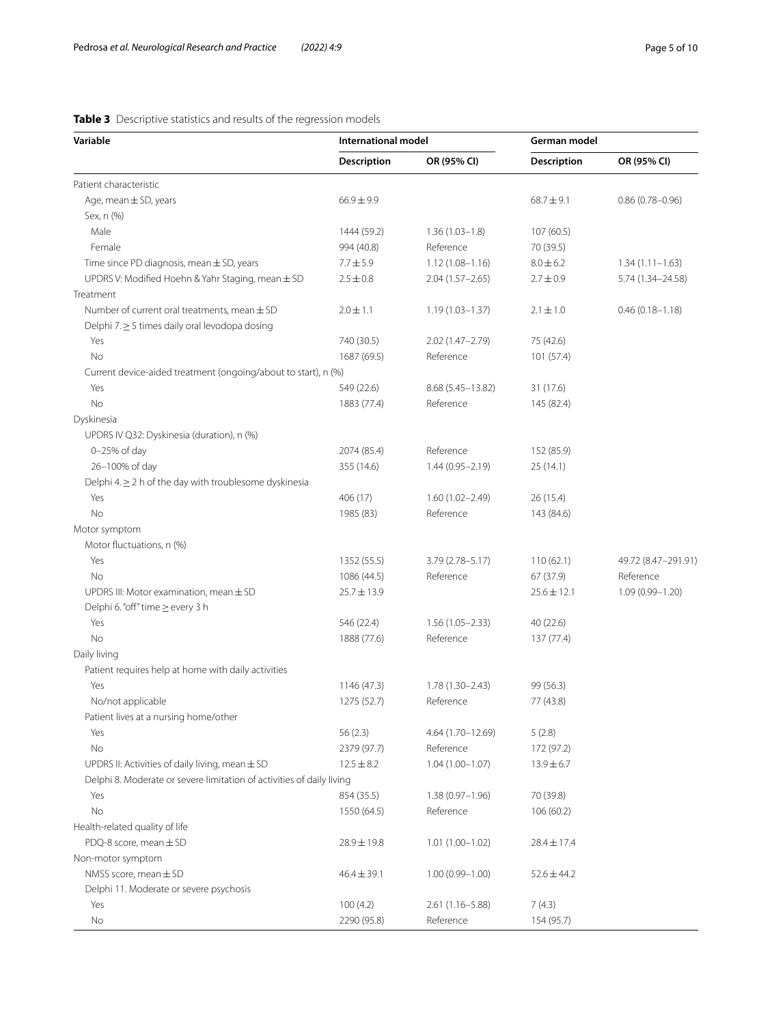## <span id="page-4-0"></span>**Table 3** Descriptive statistics and results of the regression models

| Variable                                                              | <b>International model</b> |                     | German model    |                     |  |
|-----------------------------------------------------------------------|----------------------------|---------------------|-----------------|---------------------|--|
|                                                                       | <b>Description</b>         | OR (95% CI)         | Description     | OR (95% CI)         |  |
| Patient characteristic                                                |                            |                     |                 |                     |  |
| Age, mean ± SD, years                                                 | $66.9 \pm 9.9$             |                     | $68.7 \pm 9.1$  | $0.86(0.78 - 0.96)$ |  |
| Sex, n (%)                                                            |                            |                     |                 |                     |  |
| Male                                                                  | 1444 (59.2)                | $1.36(1.03-1.8)$    | 107(60.5)       |                     |  |
| Female                                                                | 994 (40.8)                 | Reference           | 70 (39.5)       |                     |  |
| Time since PD diagnosis, mean $\pm$ SD, years                         | $7.7 \pm 5.9$              | $1.12(1.08 - 1.16)$ | $8.0 \pm 6.2$   | $1.34(1.11 - 1.63)$ |  |
| UPDRS V: Modified Hoehn & Yahr Staging, mean ± SD                     | $2.5 \pm 0.8$              | $2.04(1.57 - 2.65)$ | $2.7 \pm 0.9$   | 5.74 (1.34-24.58)   |  |
| Treatment                                                             |                            |                     |                 |                     |  |
| Number of current oral treatments, mean $\pm$ SD                      | $2.0 \pm 1.1$              | $1.19(1.03 - 1.37)$ | $2.1 \pm 1.0$   | $0.46(0.18 - 1.18)$ |  |
| Delphi 7. ≥ 5 times daily oral levodopa dosing                        |                            |                     |                 |                     |  |
| Yes                                                                   | 740 (30.5)                 | 2.02 (1.47-2.79)    | 75 (42.6)       |                     |  |
| No                                                                    | 1687 (69.5)                | Reference           | 101 (57.4)      |                     |  |
|                                                                       |                            |                     |                 |                     |  |
| Current device-aided treatment (ongoing/about to start), n (%)        |                            |                     |                 |                     |  |
| Yes                                                                   | 549 (22.6)                 | 8.68 (5.45-13.82)   | 31 (17.6)       |                     |  |
| <b>No</b>                                                             | 1883 (77.4)                | Reference           | 145 (82.4)      |                     |  |
| Dyskinesia                                                            |                            |                     |                 |                     |  |
| UPDRS IV Q32: Dyskinesia (duration), n (%)                            |                            |                     |                 |                     |  |
| 0-25% of day                                                          | 2074 (85.4)                | Reference           | 152 (85.9)      |                     |  |
| 26-100% of day                                                        | 355 (14.6)                 | 1.44 (0.95-2.19)    | 25(14.1)        |                     |  |
| Delphi $4 \geq 2$ h of the day with troublesome dyskinesia            |                            |                     |                 |                     |  |
| Yes                                                                   | 406 (17)                   | $1.60(1.02 - 2.49)$ | 26 (15.4)       |                     |  |
| No                                                                    | 1985 (83)                  | Reference           | 143 (84.6)      |                     |  |
| Motor symptom                                                         |                            |                     |                 |                     |  |
| Motor fluctuations, n (%)                                             |                            |                     |                 |                     |  |
| Yes                                                                   | 1352 (55.5)                | $3.79(2.78 - 5.17)$ | 110(62.1)       | 49.72 (8.47-291.91) |  |
| No                                                                    | 1086 (44.5)                | Reference           | 67 (37.9)       | Reference           |  |
| UPDRS III: Motor examination, mean $\pm$ SD                           | $25.7 \pm 13.9$            |                     | $25.6 \pm 12.1$ | $1.09(0.99 - 1.20)$ |  |
| Delphi 6. "off" time ≥ every 3 h                                      |                            |                     |                 |                     |  |
| Yes                                                                   | 546 (22.4)                 | $1.56(1.05 - 2.33)$ | 40 (22.6)       |                     |  |
| No                                                                    | 1888 (77.6)                | Reference           | 137 (77.4)      |                     |  |
| Daily living                                                          |                            |                     |                 |                     |  |
| Patient requires help at home with daily activities                   |                            |                     |                 |                     |  |
| Yes                                                                   | 1146 (47.3)                | $1.78(1.30 - 2.43)$ | 99 (56.3)       |                     |  |
| No/not applicable                                                     | 1275 (52.7)                | Reference           | 77 (43.8)       |                     |  |
| Patient lives at a nursing home/other                                 |                            |                     |                 |                     |  |
| Yes                                                                   | 56(2.3)                    | 4.64 (1.70-12.69)   | 5(2.8)          |                     |  |
| No                                                                    | 2379 (97.7)                | Reference           | 172 (97.2)      |                     |  |
| UPDRS II: Activities of daily living, mean $\pm$ SD                   | $12.5 \pm 8.2$             | $1.04(1.00 - 1.07)$ | $13.9 \pm 6.7$  |                     |  |
| Delphi 8. Moderate or severe limitation of activities of daily living |                            |                     |                 |                     |  |
| Yes                                                                   | 854 (35.5)                 | $1.38(0.97 - 1.96)$ | 70 (39.8)       |                     |  |
| No                                                                    |                            |                     |                 |                     |  |
|                                                                       | 1550 (64.5)                | Reference           | 106(60.2)       |                     |  |
| Health-related quality of life                                        |                            |                     |                 |                     |  |
| PDQ-8 score, mean $\pm$ SD                                            | 28.9±19.8                  | $1.01(1.00 - 1.02)$ | $28.4 \pm 17.4$ |                     |  |
| Non-motor symptom                                                     |                            |                     |                 |                     |  |
| NMSS score, mean $\pm$ SD                                             | $46.4 \pm 39.1$            | $1.00(0.99 - 1.00)$ | $52.6 \pm 44.2$ |                     |  |
| Delphi 11. Moderate or severe psychosis                               |                            |                     |                 |                     |  |
| Yes                                                                   | 100(4.2)                   | $2.61(1.16 - 5.88)$ | 7(4.3)          |                     |  |
| No                                                                    | 2290 (95.8)                | Reference           | 154 (95.7)      |                     |  |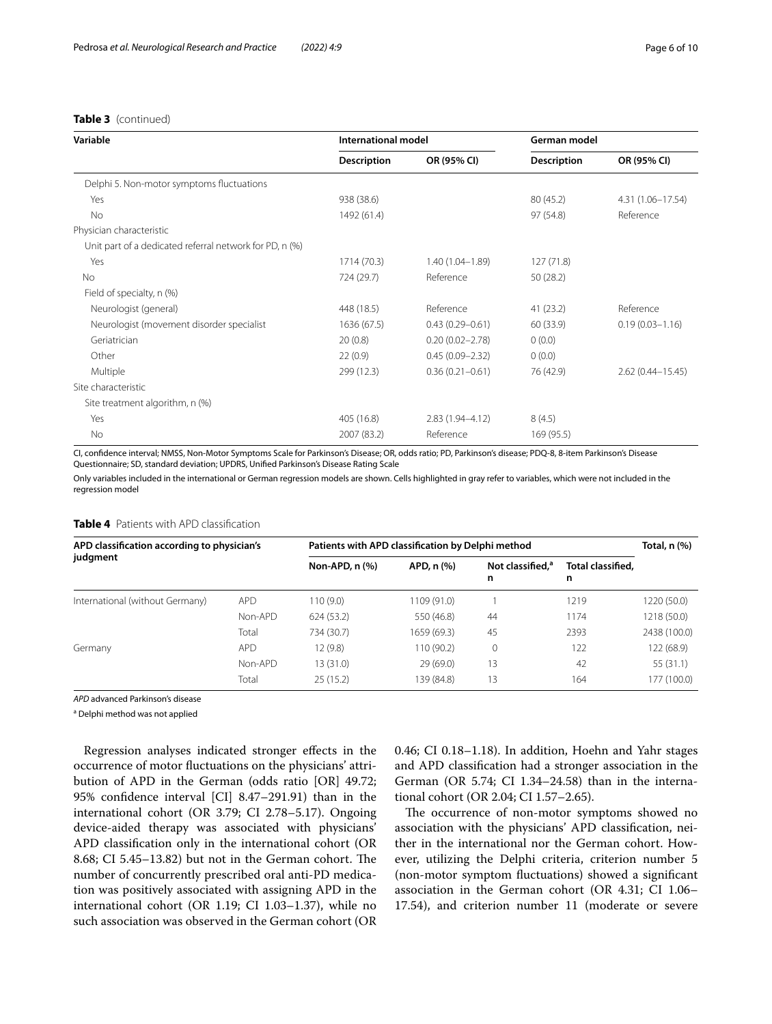#### **Table 3** (continued)

| Variable                                                | International model               |                     | German model       |                      |  |
|---------------------------------------------------------|-----------------------------------|---------------------|--------------------|----------------------|--|
|                                                         | OR (95% CI)<br><b>Description</b> |                     | <b>Description</b> | OR (95% CI)          |  |
| Delphi 5. Non-motor symptoms fluctuations               |                                   |                     |                    |                      |  |
| Yes                                                     | 938 (38.6)                        |                     | 80 (45.2)          | 4.31 (1.06-17.54)    |  |
| No                                                      | 1492 (61.4)                       |                     | 97 (54.8)          | Reference            |  |
| Physician characteristic                                |                                   |                     |                    |                      |  |
| Unit part of a dedicated referral network for PD, n (%) |                                   |                     |                    |                      |  |
| Yes                                                     | 1714 (70.3)                       | $1.40(1.04 - 1.89)$ | 127(71.8)          |                      |  |
| No                                                      | 724 (29.7)                        | Reference           | 50 (28.2)          |                      |  |
| Field of specialty, n (%)                               |                                   |                     |                    |                      |  |
| Neurologist (general)                                   | 448 (18.5)                        | Reference           | 41(23.2)           | Reference            |  |
| Neurologist (movement disorder specialist               | 1636 (67.5)                       | $0.43(0.29 - 0.61)$ | 60 (33.9)          | $0.19(0.03 - 1.16)$  |  |
| Geriatrician                                            | 20(0.8)                           | $0.20(0.02 - 2.78)$ | 0(0.0)             |                      |  |
| Other                                                   | 22(0.9)                           | $0.45(0.09 - 2.32)$ | 0(0.0)             |                      |  |
| Multiple                                                | 299 (12.3)                        | $0.36(0.21 - 0.61)$ | 76 (42.9)          | $2.62(0.44 - 15.45)$ |  |
| Site characteristic                                     |                                   |                     |                    |                      |  |
| Site treatment algorithm, n (%)                         |                                   |                     |                    |                      |  |
| Yes                                                     | 405 (16.8)                        | $2.83(1.94 - 4.12)$ | 8(4.5)             |                      |  |
| No                                                      | 2007 (83.2)                       | Reference           | 169 (95.5)         |                      |  |

CI, confdence interval; NMSS, Non-Motor Symptoms Scale for Parkinson's Disease; OR, odds ratio; PD, Parkinson's disease; PDQ-8, 8-item Parkinson's Disease Questionnaire; SD, standard deviation; UPDRS, Unifed Parkinson's Disease Rating Scale

Only variables included in the international or German regression models are shown. Cells highlighted in gray refer to variables, which were not included in the regression model

| APD classification according to physician's<br>judgment |            | Patients with APD classification by Delphi method |             |                                   |                        |              |
|---------------------------------------------------------|------------|---------------------------------------------------|-------------|-----------------------------------|------------------------|--------------|
|                                                         |            | Non-APD, n (%)                                    | APD, n (%)  | Not classified. <sup>a</sup><br>n | Total classified,<br>n |              |
| International (without Germany)                         | <b>APD</b> | 110(9.0)                                          | 1109 (91.0) |                                   | 1219                   | 1220 (50.0)  |
|                                                         | Non-APD    | 624(53.2)                                         | 550 (46.8)  | 44                                | 1174                   | 1218 (50.0)  |
|                                                         | Total      | 734 (30.7)                                        | 1659 (69.3) | 45                                | 2393                   | 2438 (100.0) |
| Germany                                                 | <b>APD</b> | 12(9.8)                                           | 110 (90.2)  | 0                                 | 122                    | 122 (68.9)   |
|                                                         | Non-APD    | 13(31.0)                                          | 29(69.0)    | 13                                | 42                     | 55(31.1)     |
|                                                         | Total      | 25(15.2)                                          | 139 (84.8)  | 13                                | 164                    | 177 (100.0)  |

#### <span id="page-5-0"></span>**Table 4** Patients with APD classifcation

*APD* advanced Parkinson's disease

<sup>a</sup> Delphi method was not applied

Regression analyses indicated stronger efects in the occurrence of motor fuctuations on the physicians' attribution of APD in the German (odds ratio [OR] 49.72; 95% confdence interval [CI] 8.47–291.91) than in the international cohort (OR 3.79; CI 2.78–5.17). Ongoing device-aided therapy was associated with physicians' APD classifcation only in the international cohort (OR 8.68; CI  $5.45-13.82$ ) but not in the German cohort. The number of concurrently prescribed oral anti-PD medication was positively associated with assigning APD in the international cohort (OR 1.19; CI 1.03–1.37), while no such association was observed in the German cohort (OR 0.46; CI 0.18–1.18). In addition, Hoehn and Yahr stages and APD classifcation had a stronger association in the German (OR 5.74; CI 1.34–24.58) than in the international cohort (OR 2.04; CI 1.57–2.65).

The occurrence of non-motor symptoms showed no association with the physicians' APD classifcation, neither in the international nor the German cohort. However, utilizing the Delphi criteria, criterion number 5 (non-motor symptom fuctuations) showed a signifcant association in the German cohort (OR 4.31; CI 1.06– 17.54), and criterion number 11 (moderate or severe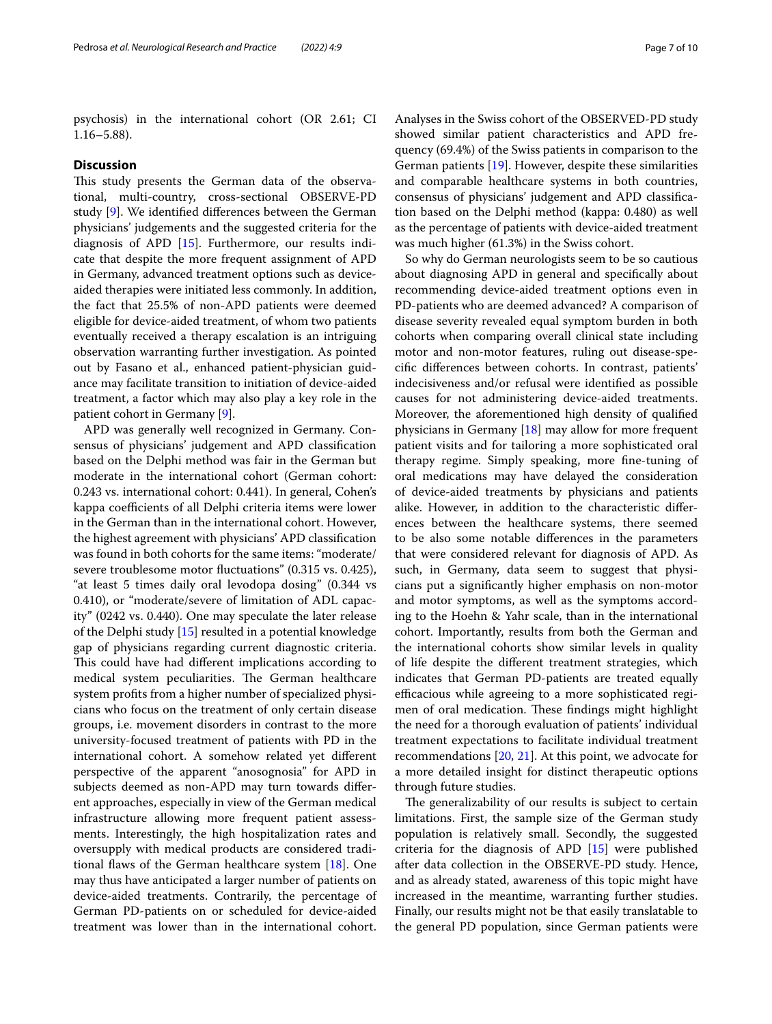psychosis) in the international cohort (OR 2.61; CI 1.16–5.88).

#### **Discussion**

This study presents the German data of the observational, multi-country, cross-sectional OBSERVE-PD study [[9\]](#page-8-7). We identifed diferences between the German physicians' judgements and the suggested criteria for the diagnosis of APD [\[15](#page-8-13)]. Furthermore, our results indicate that despite the more frequent assignment of APD in Germany, advanced treatment options such as deviceaided therapies were initiated less commonly. In addition, the fact that 25.5% of non-APD patients were deemed eligible for device-aided treatment, of whom two patients eventually received a therapy escalation is an intriguing observation warranting further investigation. As pointed out by Fasano et al., enhanced patient-physician guidance may facilitate transition to initiation of device-aided treatment, a factor which may also play a key role in the patient cohort in Germany [\[9](#page-8-7)].

APD was generally well recognized in Germany. Consensus of physicians' judgement and APD classifcation based on the Delphi method was fair in the German but moderate in the international cohort (German cohort: 0.243 vs. international cohort: 0.441). In general, Cohen's kappa coefficients of all Delphi criteria items were lower in the German than in the international cohort. However, the highest agreement with physicians' APD classifcation was found in both cohorts for the same items: "moderate/ severe troublesome motor fuctuations" (0.315 vs. 0.425), "at least 5 times daily oral levodopa dosing" (0.344 vs 0.410), or "moderate/severe of limitation of ADL capacity" (0242 vs. 0.440). One may speculate the later release of the Delphi study [[15\]](#page-8-13) resulted in a potential knowledge gap of physicians regarding current diagnostic criteria. This could have had different implications according to medical system peculiarities. The German healthcare system profts from a higher number of specialized physicians who focus on the treatment of only certain disease groups, i.e. movement disorders in contrast to the more university-focused treatment of patients with PD in the international cohort. A somehow related yet diferent perspective of the apparent "anosognosia" for APD in subjects deemed as non-APD may turn towards diferent approaches, especially in view of the German medical infrastructure allowing more frequent patient assessments. Interestingly, the high hospitalization rates and oversupply with medical products are considered traditional faws of the German healthcare system [\[18](#page-8-15)]. One may thus have anticipated a larger number of patients on device-aided treatments. Contrarily, the percentage of German PD-patients on or scheduled for device-aided treatment was lower than in the international cohort. Analyses in the Swiss cohort of the OBSERVED-PD study showed similar patient characteristics and APD frequency (69.4%) of the Swiss patients in comparison to the German patients [\[19](#page-8-16)]. However, despite these similarities and comparable healthcare systems in both countries, consensus of physicians' judgement and APD classifcation based on the Delphi method (kappa: 0.480) as well as the percentage of patients with device-aided treatment was much higher (61.3%) in the Swiss cohort.

So why do German neurologists seem to be so cautious about diagnosing APD in general and specifcally about recommending device-aided treatment options even in PD-patients who are deemed advanced? A comparison of disease severity revealed equal symptom burden in both cohorts when comparing overall clinical state including motor and non-motor features, ruling out disease-specifc diferences between cohorts. In contrast, patients' indecisiveness and/or refusal were identifed as possible causes for not administering device-aided treatments. Moreover, the aforementioned high density of qualifed physicians in Germany [[18\]](#page-8-15) may allow for more frequent patient visits and for tailoring a more sophisticated oral therapy regime. Simply speaking, more fne-tuning of oral medications may have delayed the consideration of device-aided treatments by physicians and patients alike. However, in addition to the characteristic diferences between the healthcare systems, there seemed to be also some notable diferences in the parameters that were considered relevant for diagnosis of APD. As such, in Germany, data seem to suggest that physicians put a signifcantly higher emphasis on non-motor and motor symptoms, as well as the symptoms according to the Hoehn & Yahr scale, than in the international cohort. Importantly, results from both the German and the international cohorts show similar levels in quality of life despite the diferent treatment strategies, which indicates that German PD-patients are treated equally efficacious while agreeing to a more sophisticated regimen of oral medication. These findings might highlight the need for a thorough evaluation of patients' individual treatment expectations to facilitate individual treatment recommendations [[20](#page-8-17), [21](#page-8-18)]. At this point, we advocate for a more detailed insight for distinct therapeutic options through future studies.

The generalizability of our results is subject to certain limitations. First, the sample size of the German study population is relatively small. Secondly, the suggested criteria for the diagnosis of APD [[15](#page-8-13)] were published after data collection in the OBSERVE-PD study. Hence, and as already stated, awareness of this topic might have increased in the meantime, warranting further studies. Finally, our results might not be that easily translatable to the general PD population, since German patients were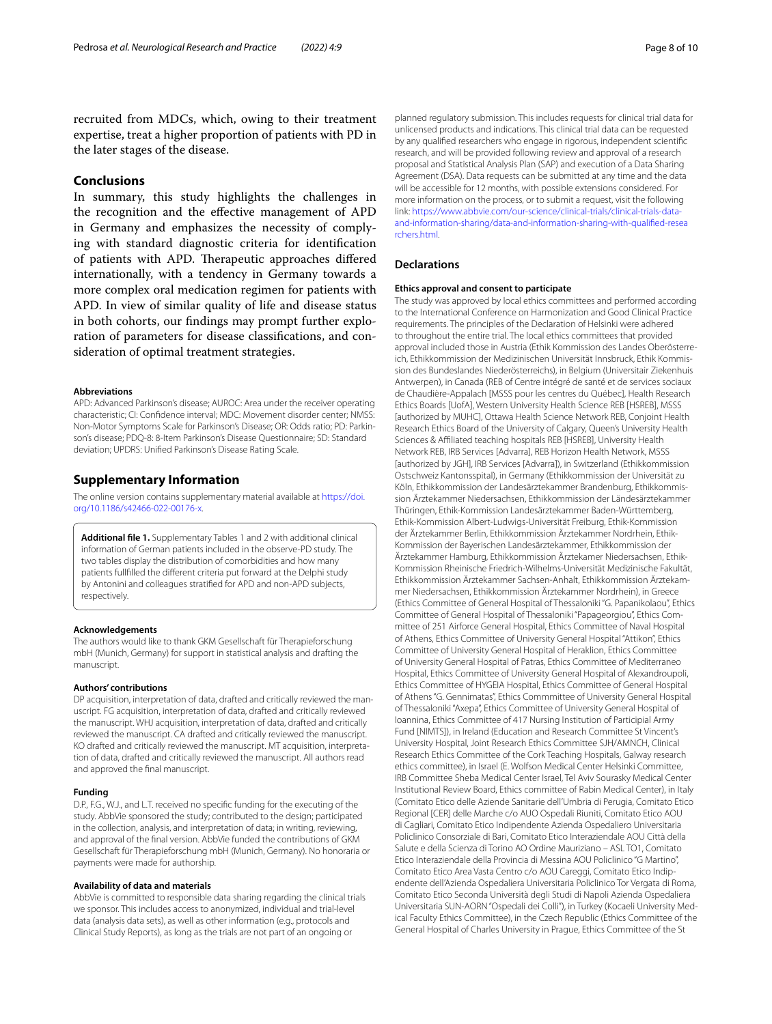recruited from MDCs, which, owing to their treatment expertise, treat a higher proportion of patients with PD in the later stages of the disease.

#### **Conclusions**

In summary, this study highlights the challenges in the recognition and the efective management of APD in Germany and emphasizes the necessity of complying with standard diagnostic criteria for identifcation of patients with APD. Therapeutic approaches differed internationally, with a tendency in Germany towards a more complex oral medication regimen for patients with APD. In view of similar quality of life and disease status in both cohorts, our fndings may prompt further exploration of parameters for disease classifcations, and consideration of optimal treatment strategies.

#### **Abbreviations**

APD: Advanced Parkinson's disease; AUROC: Area under the receiver operating characteristic; CI: Confdence interval; MDC: Movement disorder center; NMSS: Non-Motor Symptoms Scale for Parkinson's Disease; OR: Odds ratio; PD: Parkinson's disease; PDQ-8: 8-Item Parkinson's Disease Questionnaire; SD: Standard deviation; UPDRS: Unifed Parkinson's Disease Rating Scale.

#### **Supplementary Information**

The online version contains supplementary material available at [https://doi.](https://doi.org/10.1186/s42466-022-00176-x) [org/10.1186/s42466-022-00176-x.](https://doi.org/10.1186/s42466-022-00176-x)

<span id="page-7-0"></span>**Additional fle 1.** Supplementary Tables 1 and 2 with additional clinical information of German patients included in the observe-PD study. The two tables display the distribution of comorbidities and how many patients fullflled the diferent criteria put forward at the Delphi study by Antonini and colleagues stratifed for APD and non-APD subjects, respectively.

#### **Acknowledgements**

The authors would like to thank GKM Gesellschaft für Therapieforschung mbH (Munich, Germany) for support in statistical analysis and drafting the manuscript.

#### **Authors' contributions**

DP acquisition, interpretation of data, drafted and critically reviewed the manuscript. FG acquisition, interpretation of data, drafted and critically reviewed the manuscript. WHJ acquisition, interpretation of data, drafted and critically reviewed the manuscript. CA drafted and critically reviewed the manuscript. KO drafted and critically reviewed the manuscript. MT acquisition, interpretation of data, drafted and critically reviewed the manuscript. All authors read and approved the fnal manuscript.

#### **Funding**

D.P., F.G., W.J., and L.T. received no specifc funding for the executing of the study. AbbVie sponsored the study; contributed to the design; participated in the collection, analysis, and interpretation of data; in writing, reviewing, and approval of the fnal version. AbbVie funded the contributions of GKM Gesellschaft für Therapieforschung mbH (Munich, Germany). No honoraria or payments were made for authorship.

#### **Availability of data and materials**

AbbVie is committed to responsible data sharing regarding the clinical trials we sponsor. This includes access to anonymized, individual and trial-level data (analysis data sets), as well as other information (e.g., protocols and Clinical Study Reports), as long as the trials are not part of an ongoing or

planned regulatory submission. This includes requests for clinical trial data for unlicensed products and indications. This clinical trial data can be requested by any qualifed researchers who engage in rigorous, independent scientifc research, and will be provided following review and approval of a research proposal and Statistical Analysis Plan (SAP) and execution of a Data Sharing Agreement (DSA). Data requests can be submitted at any time and the data will be accessible for 12 months, with possible extensions considered. For more information on the process, or to submit a request, visit the following link: [https://www.abbvie.com/our-science/clinical-trials/clinical-trials-data](https://www.abbvie.com/our-science/clinical-trials/clinical-trials-data-and-information-sharing/data-and-information-sharing-with-qualified-researchers.html)[and-information-sharing/data-and-information-sharing-with-qualifed-resea](https://www.abbvie.com/our-science/clinical-trials/clinical-trials-data-and-information-sharing/data-and-information-sharing-with-qualified-researchers.html) [rchers.html](https://www.abbvie.com/our-science/clinical-trials/clinical-trials-data-and-information-sharing/data-and-information-sharing-with-qualified-researchers.html).

#### **Declarations**

#### **Ethics approval and consent to participate**

The study was approved by local ethics committees and performed according to the International Conference on Harmonization and Good Clinical Practice requirements. The principles of the Declaration of Helsinki were adhered to throughout the entire trial. The local ethics committees that provided approval included those in Austria (Ethik Kommission des Landes Oberösterreich, Ethikkommission der Medizinischen Universität Innsbruck, Ethik Kommission des Bundeslandes Niederösterreichs), in Belgium (Universitair Ziekenhuis Antwerpen), in Canada (REB of Centre intégré de santé et de services sociaux de Chaudière-Appalach [MSSS pour les centres du Québec], Health Research Ethics Boards [UofA], Western University Health Science REB [HSREB], MSSS [authorized by MUHC], Ottawa Health Science Network REB, Conjoint Health Research Ethics Board of the University of Calgary, Queen's University Health Sciences & Affiliated teaching hospitals REB [HSREB], University Health Network REB, IRB Services [Advarra], REB Horizon Health Network, MSSS [authorized by JGH], IRB Services [Advarra]), in Switzerland (Ethikkommission Ostschweiz Kantonsspital), in Germany (Ethikkommission der Universität zu Köln, Ethikkommission der Landesärztekammer Brandenburg, Ethikkommission Ärztekammer Niedersachsen, Ethikkommission der Ländesärztekammer Thüringen, Ethik-Kommission Landesärztekammer Baden-Württemberg, Ethik-Kommission Albert-Ludwigs-Universität Freiburg, Ethik-Kommission der Ärztekammer Berlin, Ethikkommission Ärztekammer Nordrhein, Ethik-Kommission der Bayerischen Landesärztekammer, Ethikkommission der Ärztekammer Hamburg, Ethikkommission Ärztekamer Niedersachsen, Ethik-Kommission Rheinische Friedrich-Wilhelms-Universität Medizinische Fakultät, Ethikkommission Ärztekammer Sachsen-Anhalt, Ethikkommission Ärztekammer Niedersachsen, Ethikkommission Ärztekammer Nordrhein), in Greece (Ethics Committee of General Hospital of Thessaloniki "G. Papanikolaou", Ethics Committee of General Hospital of Thessaloniki "Papageorgiou", Ethics Committee of 251 Airforce General Hospital, Ethics Committee of Naval Hospital of Athens, Ethics Committee of University General Hospital "Attikon", Ethics Committee of University General Hospital of Heraklion, Ethics Committee of University General Hospital of Patras, Ethics Committee of Mediterraneo Hospital, Ethics Committee of University General Hospital of Alexandroupoli, Ethics Committee of HYGEIA Hospital, Ethics Committee of General Hospital of Athens "G. Gennimatas", Ethics Commmittee of University General Hospital of Thessaloniki "Axepa", Ethics Committee of University General Hospital of Ioannina, Ethics Committee of 417 Nursing Institution of Participial Army Fund [NIMTS]), in Ireland (Education and Research Committee St Vincent's University Hospital, Joint Research Ethics Committee SJH/AMNCH, Clinical Research Ethics Committee of the Cork Teaching Hospitals, Galway research ethics committee), in Israel (E. Wolfson Medical Center Helsinki Committee, IRB Committee Sheba Medical Center Israel, Tel Aviv Sourasky Medical Center Institutional Review Board, Ethics committee of Rabin Medical Center), in Italy (Comitato Etico delle Aziende Sanitarie dell'Umbria di Perugia, Comitato Etico Regional [CER] delle Marche c/o AUO Ospedali Riuniti, Comitato Etico AOU di Cagliari, Comitato Etico Indipendente Azienda Ospedaliero Universitaria Policlinico Consorziale di Bari, Comitato Etico Interaziendale AOU Città della Salute e della Scienza di Torino AO Ordine Mauriziano – ASL TO1, Comitato Etico Interaziendale della Provincia di Messina AOU Policlinico "G Martino", Comitato Etico Area Vasta Centro c/o AOU Careggi, Comitato Etico Indipendente dell'Azienda Ospedaliera Universitaria Policlinico Tor Vergata di Roma, Comitato Etico Seconda Università degli Studi di Napoli Azienda Ospedaliera Universitaria SUN-AORN "Ospedali dei Colli"), in Turkey (Kocaeli University Medical Faculty Ethics Committee), in the Czech Republic (Ethics Committee of the General Hospital of Charles University in Prague, Ethics Committee of the St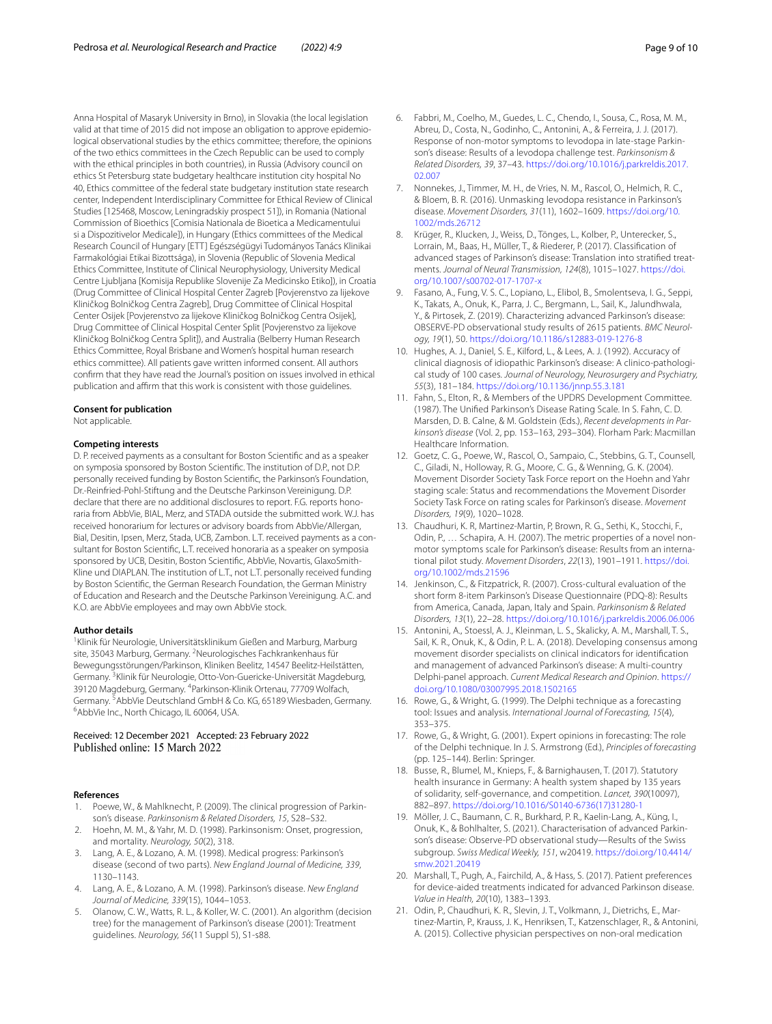Anna Hospital of Masaryk University in Brno), in Slovakia (the local legislation valid at that time of 2015 did not impose an obligation to approve epidemiological observational studies by the ethics committee; therefore, the opinions of the two ethics committees in the Czech Republic can be used to comply with the ethical principles in both countries), in Russia (Advisory council on ethics St Petersburg state budgetary healthcare institution city hospital No 40, Ethics committee of the federal state budgetary institution state research center, Independent Interdisciplinary Committee for Ethical Review of Clinical Studies [125468, Moscow, Leningradskiy prospect 51]), in Romania (National Commission of Bioethics [Comisia Nationala de Bioetica a Medicamentului si a Dispozitivelor Medicale]), in Hungary (Ethics committees of the Medical Research Council of Hungary [ETT] Egészségügyi Tudományos Tanács Klinikai Farmakológiai Etikai Bizottsága), in Slovenia (Republic of Slovenia Medical Ethics Committee, Institute of Clinical Neurophysiology, University Medical Centre Ljubljana [Komisija Republike Slovenije Za Medicinsko Etiko]), in Croatia (Drug Committee of Clinical Hospital Center Zagreb [Povjerenstvo za lijekove Kliničkog Bolničkog Centra Zagreb], Drug Committee of Clinical Hospital Center Osijek [Povjerenstvo za lijekove Kliničkog Bolničkog Centra Osijek], Drug Committee of Clinical Hospital Center Split [Povjerenstvo za lijekove Kliničkog Bolničkog Centra Split]), and Australia (Belberry Human Research Ethics Committee, Royal Brisbane and Women's hospital human research ethics committee). All patients gave written informed consent. All authors confrm that they have read the Journal's position on issues involved in ethical publication and affirm that this work is consistent with those quidelines.

#### **Consent for publication**

Not applicable.

#### **Competing interests**

D. P. received payments as a consultant for Boston Scientifc and as a speaker on symposia sponsored by Boston Scientifc. The institution of D.P., not D.P. personally received funding by Boston Scientifc, the Parkinson's Foundation, Dr.-Reinfried-Pohl-Stiftung and the Deutsche Parkinson Vereinigung. D.P. declare that there are no additional disclosures to report. F.G. reports honoraria from AbbVie, BIAL, Merz, and STADA outside the submitted work. W.J. has received honorarium for lectures or advisory boards from AbbVie/Allergan, Bial, Desitin, Ipsen, Merz, Stada, UCB, Zambon. L.T. received payments as a consultant for Boston Scientifc, L.T. received honoraria as a speaker on symposia sponsored by UCB, Desitin, Boston Scientifc, AbbVie, Novartis, GlaxoSmith-Kline und DIAPLAN. The institution of L.T., not L.T. personally received funding by Boston Scientifc, the German Research Foundation, the German Ministry of Education and Research and the Deutsche Parkinson Vereinigung. A.C. and K.O. are AbbVie employees and may own AbbVie stock.

#### **Author details**

<sup>1</sup> Klinik für Neurologie, Universitätsklinikum Gießen and Marburg, Marburg site, 35043 Marburg, Germany. <sup>2</sup>Neurologisches Fachkrankenhaus für Bewegungsstörungen/Parkinson, Kliniken Beelitz, 14547 Beelitz-Heilstätten, Germany. <sup>3</sup> Klinik für Neurologie, Otto-Von-Guericke-Universität Magdeburg, 39120 Magdeburg, Germany. 4 Parkinson-Klinik Ortenau, 77709 Wolfach, Germany. <sup>5</sup> AbbVie Deutschland GmbH & Co. KG, 65189 Wiesbaden, Germany.<br><sup>6</sup> AbbVie Inc. North Chicago. II. 60064, USA. <sup>6</sup> AbbVie Inc., North Chicago, IL 60064, USA.

## Received: 12 December 2021 Accepted: 23 February 2022

#### **References**

- <span id="page-8-0"></span>1. Poewe, W., & Mahlknecht, P. (2009). The clinical progression of Parkinson's disease. *Parkinsonism & Related Disorders, 15*, S28–S32.
- <span id="page-8-1"></span>2. Hoehn, M. M., & Yahr, M. D. (1998). Parkinsonism: Onset, progression, and mortality. *Neurology, 50*(2), 318.
- <span id="page-8-2"></span>3. Lang, A. E., & Lozano, A. M. (1998). Medical progress: Parkinson's disease (second of two parts). *New England Journal of Medicine, 339*, 1130–1143.
- 4. Lang, A. E., & Lozano, A. M. (1998). Parkinson's disease. *New England Journal of Medicine, 339*(15), 1044–1053.
- <span id="page-8-3"></span>5. Olanow, C. W., Watts, R. L., & Koller, W. C. (2001). An algorithm (decision tree) for the management of Parkinson's disease (2001): Treatment guidelines. *Neurology, 56*(11 Suppl 5), S1-s88.
- <span id="page-8-4"></span>6. Fabbri, M., Coelho, M., Guedes, L. C., Chendo, I., Sousa, C., Rosa, M. M., Abreu, D., Costa, N., Godinho, C., Antonini, A., & Ferreira, J. J. (2017). Response of non-motor symptoms to levodopa in late-stage Parkinson's disease: Results of a levodopa challenge test. *Parkinsonism & Related Disorders, 39*, 37–43. [https://doi.org/10.1016/j.parkreldis.2017.](https://doi.org/10.1016/j.parkreldis.2017.02.007) [02.007](https://doi.org/10.1016/j.parkreldis.2017.02.007)
- <span id="page-8-5"></span>7. Nonnekes, J., Timmer, M. H., de Vries, N. M., Rascol, O., Helmich, R. C., & Bloem, B. R. (2016). Unmasking levodopa resistance in Parkinson's disease. *Movement Disorders, 31*(11), 1602–1609. [https://doi.org/10.](https://doi.org/10.1002/mds.26712) [1002/mds.26712](https://doi.org/10.1002/mds.26712)
- <span id="page-8-6"></span>8. Krüger, R., Klucken, J., Weiss, D., Tönges, L., Kolber, P., Unterecker, S., Lorrain, M., Baas, H., Müller, T., & Riederer, P. (2017). Classifcation of advanced stages of Parkinson's disease: Translation into stratifed treatments. *Journal of Neural Transmission, 124*(8), 1015–1027. [https://doi.](https://doi.org/10.1007/s00702-017-1707-x) [org/10.1007/s00702-017-1707-x](https://doi.org/10.1007/s00702-017-1707-x)
- <span id="page-8-7"></span>9. Fasano, A., Fung, V. S. C., Lopiano, L., Elibol, B., Smolentseva, I. G., Seppi, K., Takats, A., Onuk, K., Parra, J. C., Bergmann, L., Sail, K., Jalundhwala, Y., & Pirtosek, Z. (2019). Characterizing advanced Parkinson's disease: OBSERVE-PD observational study results of 2615 patients. *BMC Neurology, 19*(1), 50.<https://doi.org/10.1186/s12883-019-1276-8>
- <span id="page-8-8"></span>10. Hughes, A. J., Daniel, S. E., Kilford, L., & Lees, A. J. (1992). Accuracy of clinical diagnosis of idiopathic Parkinson's disease: A clinico-pathological study of 100 cases. *Journal of Neurology, Neurosurgery and Psychiatry, 55*(3), 181–184. <https://doi.org/10.1136/jnnp.55.3.181>
- <span id="page-8-9"></span>11. Fahn, S., Elton, R., & Members of the UPDRS Development Committee. (1987). The Unifed Parkinson's Disease Rating Scale. In S. Fahn, C. D. Marsden, D. B. Calne, & M. Goldstein (Eds.), *Recent developments in Parkinson's disease* (Vol. 2, pp. 153–163, 293–304). Florham Park: Macmillan Healthcare Information.
- <span id="page-8-10"></span>12. Goetz, C. G., Poewe, W., Rascol, O., Sampaio, C., Stebbins, G. T., Counsell, C., Giladi, N., Holloway, R. G., Moore, C. G., & Wenning, G. K. (2004). Movement Disorder Society Task Force report on the Hoehn and Yahr staging scale: Status and recommendations the Movement Disorder Society Task Force on rating scales for Parkinson's disease. *Movement Disorders, 19*(9), 1020–1028.
- <span id="page-8-11"></span>13. Chaudhuri, K. R, Martinez-Martin, P, Brown, R. G., Sethi, K., Stocchi, F., Odin, P., ... Schapira, A. H. (2007). The metric properties of a novel nonmotor symptoms scale for Parkinson's disease: Results from an international pilot study. *Movement Disorders*, *22*(13), 1901–1911. [https://doi.](https://doi.org/10.1002/mds.21596) [org/10.1002/mds.21596](https://doi.org/10.1002/mds.21596)
- <span id="page-8-12"></span>14. Jenkinson, C., & Fitzpatrick, R. (2007). Cross-cultural evaluation of the short form 8-item Parkinson's Disease Questionnaire (PDQ-8): Results from America, Canada, Japan, Italy and Spain. *Parkinsonism & Related Disorders, 13*(1), 22–28. <https://doi.org/10.1016/j.parkreldis.2006.06.006>
- <span id="page-8-13"></span>15. Antonini, A., Stoessl, A. J., Kleinman, L. S., Skalicky, A. M., Marshall, T. S., Sail, K. R., Onuk, K., & Odin, P. L. A. (2018). Developing consensus among movement disorder specialists on clinical indicators for identifcation and management of advanced Parkinson's disease: A multi-country Delphi-panel approach. *Current Medical Research and Opinion*. [https://](https://doi.org/10.1080/03007995.2018.1502165) [doi.org/10.1080/03007995.2018.1502165](https://doi.org/10.1080/03007995.2018.1502165)
- 16. Rowe, G., & Wright, G. (1999). The Delphi technique as a forecasting tool: Issues and analysis. *International Journal of Forecasting, 15*(4), 353–375.
- <span id="page-8-14"></span>17. Rowe, G., & Wright, G. (2001). Expert opinions in forecasting: The role of the Delphi technique. In J. S. Armstrong (Ed.), *Principles of forecasting* (pp. 125–144). Berlin: Springer.
- <span id="page-8-15"></span>18. Busse, R., Blumel, M., Knieps, F., & Barnighausen, T. (2017). Statutory health insurance in Germany: A health system shaped by 135 years of solidarity, self-governance, and competition. *Lancet, 390*(10097), 882–897. [https://doi.org/10.1016/S0140-6736\(17\)31280-1](https://doi.org/10.1016/S0140-6736(17)31280-1)
- <span id="page-8-16"></span>19. Möller, J. C., Baumann, C. R., Burkhard, P. R., Kaelin-Lang, A., Küng, I., Onuk, K., & Bohlhalter, S. (2021). Characterisation of advanced Parkinson's disease: Observe-PD observational study—Results of the Swiss subgroup. *Swiss Medical Weekly, 151*, w20419. [https://doi.org/10.4414/](https://doi.org/10.4414/smw.2021.20419) [smw.2021.20419](https://doi.org/10.4414/smw.2021.20419)
- <span id="page-8-17"></span>20. Marshall, T., Pugh, A., Fairchild, A., & Hass, S. (2017). Patient preferences for device-aided treatments indicated for advanced Parkinson disease. *Value in Health, 20*(10), 1383–1393.
- <span id="page-8-18"></span>21. Odin, P., Chaudhuri, K. R., Slevin, J. T., Volkmann, J., Dietrichs, E., Martinez-Martin, P., Krauss, J. K., Henriksen, T., Katzenschlager, R., & Antonini, A. (2015). Collective physician perspectives on non-oral medication